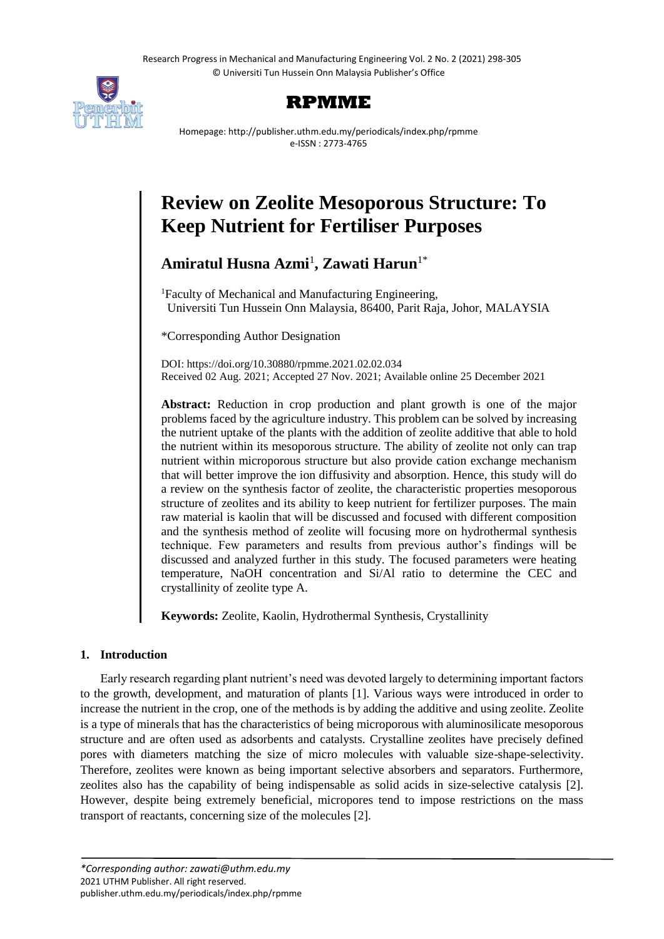Research Progress in Mechanical and Manufacturing Engineering Vol. 2 No. 2 (2021) 298-305 © Universiti Tun Hussein Onn Malaysia Publisher's Office





Homepage: http://publisher.uthm.edu.my/periodicals/index.php/rpmme e-ISSN : 2773-4765

# **Review on Zeolite Mesoporous Structure: To Keep Nutrient for Fertiliser Purposes**

# **Amiratul Husna Azmi**<sup>1</sup> **, Zawati Harun**1\*

<sup>1</sup>Faculty of Mechanical and Manufacturing Engineering, Universiti Tun Hussein Onn Malaysia, 86400, Parit Raja, Johor, MALAYSIA

\*Corresponding Author Designation

DOI: https://doi.org/10.30880/rpmme.2021.02.02.034 Received 02 Aug. 2021; Accepted 27 Nov. 2021; Available online 25 December 2021

**Abstract:** Reduction in crop production and plant growth is one of the major problems faced by the agriculture industry. This problem can be solved by increasing the nutrient uptake of the plants with the addition of zeolite additive that able to hold the nutrient within its mesoporous structure. The ability of zeolite not only can trap nutrient within microporous structure but also provide cation exchange mechanism that will better improve the ion diffusivity and absorption. Hence, this study will do a review on the synthesis factor of zeolite, the characteristic properties mesoporous structure of zeolites and its ability to keep nutrient for fertilizer purposes. The main raw material is kaolin that will be discussed and focused with different composition and the synthesis method of zeolite will focusing more on hydrothermal synthesis technique. Few parameters and results from previous author's findings will be discussed and analyzed further in this study. The focused parameters were heating temperature, NaOH concentration and Si/Al ratio to determine the CEC and crystallinity of zeolite type A.

**Keywords:** Zeolite, Kaolin, Hydrothermal Synthesis, Crystallinity

# **1. Introduction**

Early research regarding plant nutrient's need was devoted largely to determining important factors to the growth, development, and maturation of plants [1]. Various ways were introduced in order to increase the nutrient in the crop, one of the methods is by adding the additive and using zeolite. Zeolite is a type of minerals that has the characteristics of being microporous with aluminosilicate mesoporous structure and are often used as adsorbents and catalysts. Crystalline zeolites have precisely defined pores with diameters matching the size of micro molecules with valuable size-shape-selectivity. Therefore, zeolites were known as being important selective absorbers and separators. Furthermore, zeolites also has the capability of being indispensable as solid acids in size-selective catalysis [2]. However, despite being extremely beneficial, micropores tend to impose restrictions on the mass transport of reactants, concerning size of the molecules [2].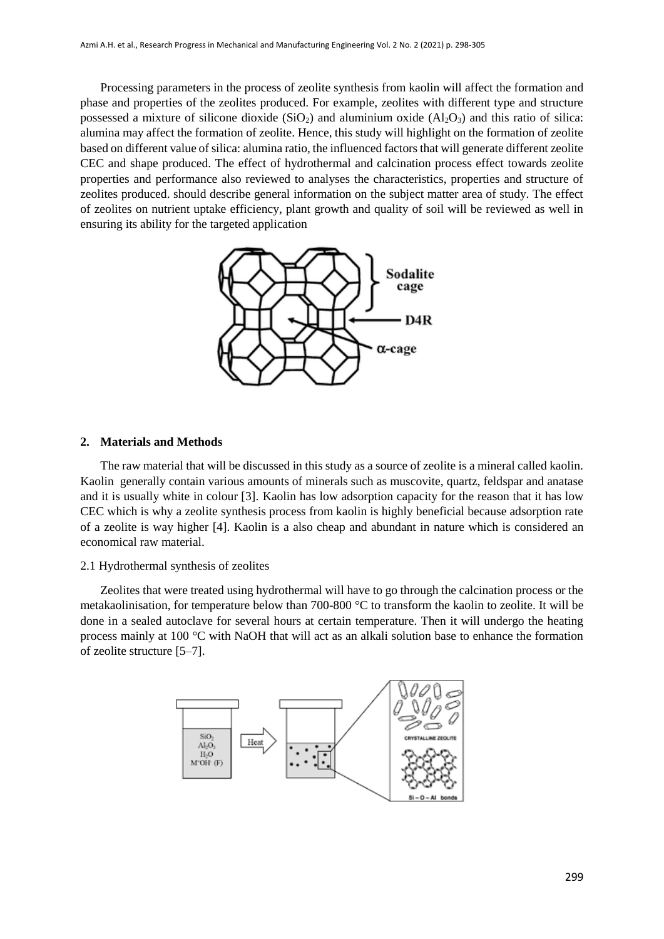Processing parameters in the process of zeolite synthesis from kaolin will affect the formation and phase and properties of the zeolites produced. For example, zeolites with different type and structure possessed a mixture of silicone dioxide  $(SiO<sub>2</sub>)$  and aluminium oxide  $(A<sub>12</sub>O<sub>3</sub>)$  and this ratio of silica: alumina may affect the formation of zeolite. Hence, this study will highlight on the formation of zeolite based on different value of silica: alumina ratio, the influenced factors that will generate different zeolite CEC and shape produced. The effect of hydrothermal and calcination process effect towards zeolite properties and performance also reviewed to analyses the characteristics, properties and structure of zeolites produced. should describe general information on the subject matter area of study. The effect of zeolites on nutrient uptake efficiency, plant growth and quality of soil will be reviewed as well in ensuring its ability for the targeted application



#### **2. Materials and Methods**

The raw material that will be discussed in this study as a source of zeolite is a mineral called kaolin. Kaolin generally contain various amounts of minerals such as muscovite, quartz, feldspar and anatase and it is usually white in colour [3]. Kaolin has low adsorption capacity for the reason that it has low CEC which is why a zeolite synthesis process from kaolin is highly beneficial because adsorption rate of a zeolite is way higher [4]. Kaolin is a also cheap and abundant in nature which is considered an economical raw material.

#### 2.1 Hydrothermal synthesis of zeolites

Zeolites that were treated using hydrothermal will have to go through the calcination process or the metakaolinisation, for temperature below than 700-800 °C to transform the kaolin to zeolite. It will be done in a sealed autoclave for several hours at certain temperature. Then it will undergo the heating process mainly at 100 °C with NaOH that will act as an alkali solution base to enhance the formation of zeolite structure [5–7].

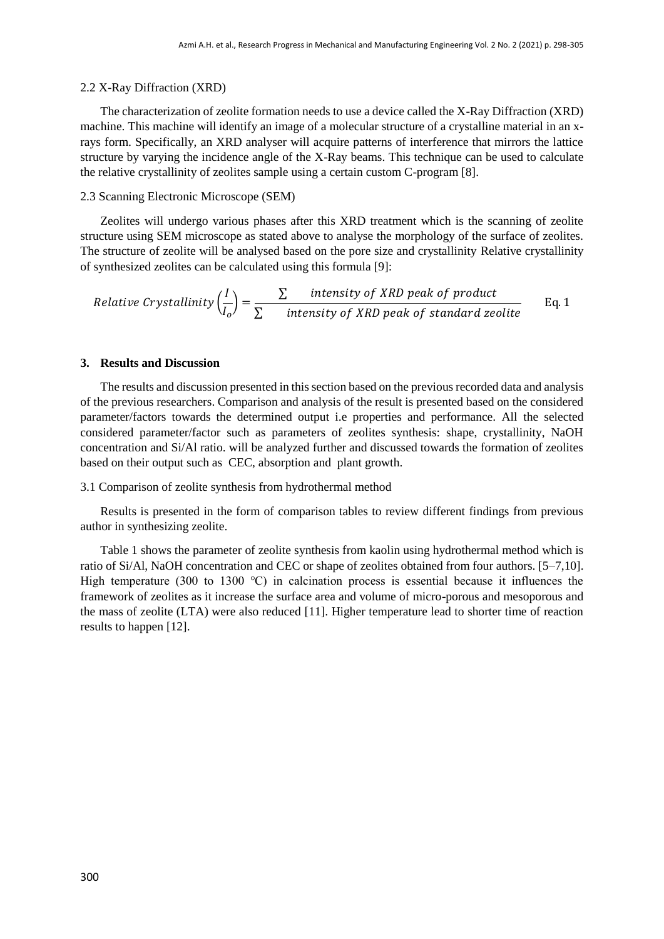#### 2.2 X-Ray Diffraction (XRD)

The characterization of zeolite formation needs to use a device called the X-Ray Diffraction (XRD) machine. This machine will identify an image of a molecular structure of a crystalline material in an xrays form. Specifically, an XRD analyser will acquire patterns of interference that mirrors the lattice structure by varying the incidence angle of the X-Ray beams. This technique can be used to calculate the relative crystallinity of zeolites sample using a certain custom C-program [8].

#### 2.3 Scanning Electronic Microscope (SEM)

Zeolites will undergo various phases after this XRD treatment which is the scanning of zeolite structure using SEM microscope as stated above to analyse the morphology of the surface of zeolites. The structure of zeolite will be analysed based on the pore size and crystallinity Relative crystallinity of synthesized zeolites can be calculated using this formula [9]:

Relative Crystallinity 
$$
\left(\frac{I}{I_o}\right) = \frac{\sum \text{ intensity of XRD peak of product}}{\sum \text{ intensity of XRD peak of standard zedite}}
$$
 Eq. 1

### **3. Results and Discussion**

The results and discussion presented in this section based on the previous recorded data and analysis of the previous researchers. Comparison and analysis of the result is presented based on the considered parameter/factors towards the determined output i.e properties and performance. All the selected considered parameter/factor such as parameters of zeolites synthesis: shape, crystallinity, NaOH concentration and Si/Al ratio. will be analyzed further and discussed towards the formation of zeolites based on their output such as CEC, absorption and plant growth.

#### 3.1 Comparison of zeolite synthesis from hydrothermal method

Results is presented in the form of comparison tables to review different findings from previous author in synthesizing zeolite.

Table 1 shows the parameter of zeolite synthesis from kaolin using hydrothermal method which is ratio of Si/Al, NaOH concentration and CEC or shape of zeolites obtained from four authors. [5–7,10]. High temperature (300 to 1300 ℃) in calcination process is essential because it influences the framework of zeolites as it increase the surface area and volume of micro-porous and mesoporous and the mass of zeolite (LTA) were also reduced [11]. Higher temperature lead to shorter time of reaction results to happen [12].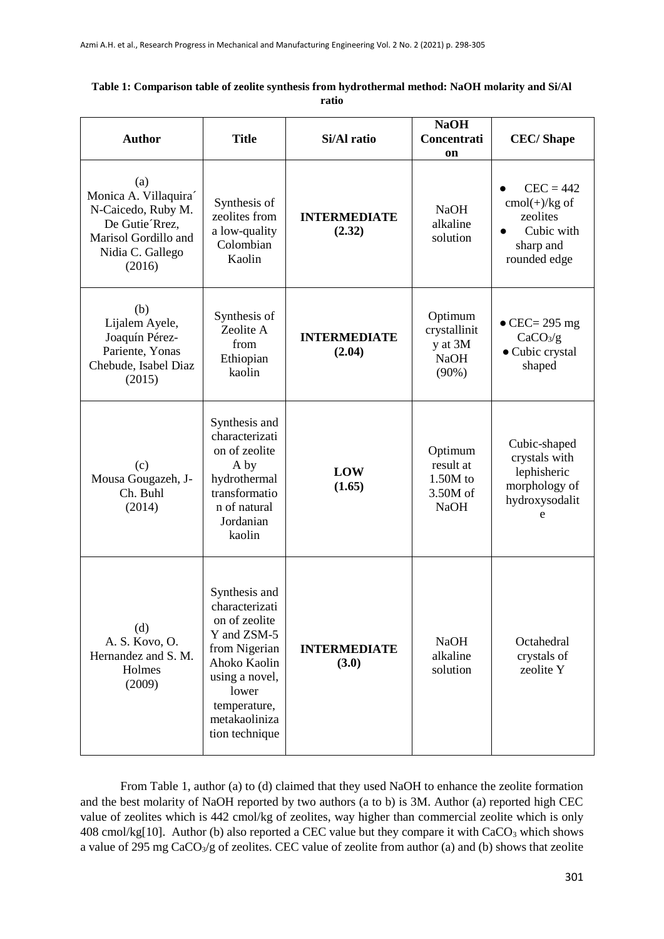| Table 1: Comparison table of zeolite synthesis from hydrothermal method: NaOH molarity and Si/Al |
|--------------------------------------------------------------------------------------------------|
| ratio                                                                                            |

| <b>Author</b>                                                                                                             | <b>Title</b>                                                                                                                                                                   | Si/Al ratio                   | <b>NaOH</b><br>Concentrati<br>on                              | <b>CEC/Shape</b>                                                                      |
|---------------------------------------------------------------------------------------------------------------------------|--------------------------------------------------------------------------------------------------------------------------------------------------------------------------------|-------------------------------|---------------------------------------------------------------|---------------------------------------------------------------------------------------|
| (a)<br>Monica A. Villaquira<br>N-Caicedo, Ruby M.<br>De Gutie Rrez,<br>Marisol Gordillo and<br>Nidia C. Gallego<br>(2016) | Synthesis of<br>zeolites from<br>a low-quality<br>Colombian<br>Kaolin                                                                                                          | <b>INTERMEDIATE</b><br>(2.32) | <b>NaOH</b><br>alkaline<br>solution                           | $CEC = 442$<br>$cmol(+)/kg$ of<br>zeolites<br>Cubic with<br>sharp and<br>rounded edge |
| (b)<br>Lijalem Ayele,<br>Joaquín Pérez-<br>Pariente, Yonas<br>Chebude, Isabel Diaz<br>(2015)                              | Synthesis of<br>Zeolite A<br>from<br>Ethiopian<br>kaolin                                                                                                                       | <b>INTERMEDIATE</b><br>(2.04) | Optimum<br>crystallinit<br>y at 3M<br><b>NaOH</b><br>$(90\%)$ | $\bullet$ CEC= 295 mg<br>CaCO <sub>3</sub> /g<br>• Cubic crystal<br>shaped            |
| (c)<br>Mousa Gougazeh, J-<br>Ch. Buhl<br>(2014)                                                                           | Synthesis and<br>characterizati<br>on of zeolite<br>A by<br>hydrothermal<br>transformatio<br>n of natural<br>Jordanian<br>kaolin                                               | LOW<br>(1.65)                 | Optimum<br>result at<br>$1.50M$ to<br>3.50M of<br><b>NaOH</b> | Cubic-shaped<br>crystals with<br>lephisheric<br>morphology of<br>hydroxysodalit<br>e  |
| (d)<br>A. S. Kovo, O.<br>Hernandez and S. M.<br>Holmes<br>(2009)                                                          | Synthesis and<br>characterizati<br>on of zeolite<br>Y and ZSM-5<br>from Nigerian<br>Ahoko Kaolin<br>using a novel,<br>lower<br>temperature,<br>metakaoliniza<br>tion technique | <b>INTERMEDIATE</b><br>(3.0)  | <b>NaOH</b><br>alkaline<br>solution                           | Octahedral<br>crystals of<br>zeolite Y                                                |

From Table 1, author (a) to (d) claimed that they used NaOH to enhance the zeolite formation and the best molarity of NaOH reported by two authors (a to b) is 3M. Author (a) reported high CEC value of zeolites which is 442 cmol/kg of zeolites, way higher than commercial zeolite which is only 408 cmol/kg[10]. Author (b) also reported a CEC value but they compare it with  $CaCO<sub>3</sub>$  which shows a value of 295 mg  $CaCO<sub>3</sub>/g$  of zeolites. CEC value of zeolite from author (a) and (b) shows that zeolite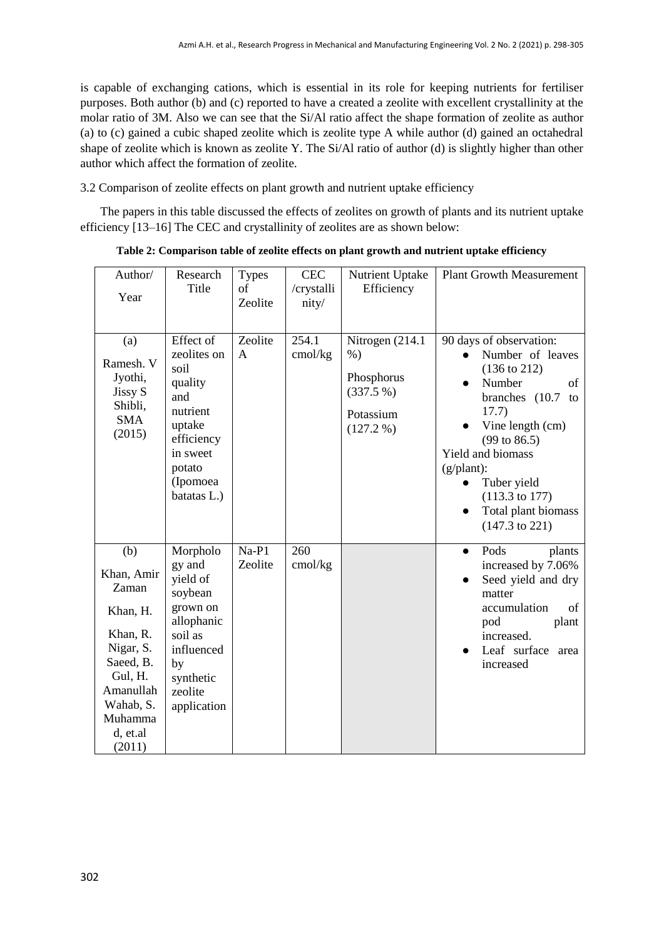is capable of exchanging cations, which is essential in its role for keeping nutrients for fertiliser purposes. Both author (b) and (c) reported to have a created a zeolite with excellent crystallinity at the molar ratio of 3M. Also we can see that the Si/Al ratio affect the shape formation of zeolite as author (a) to (c) gained a cubic shaped zeolite which is zeolite type A while author (d) gained an octahedral shape of zeolite which is known as zeolite Y. The Si/Al ratio of author (d) is slightly higher than other author which affect the formation of zeolite.

3.2 Comparison of zeolite effects on plant growth and nutrient uptake efficiency

The papers in this table discussed the effects of zeolites on growth of plants and its nutrient uptake efficiency [13–16] The CEC and crystallinity of zeolites are as shown below:

| Author/<br>Year                                                                                                                                    | Research<br>Title                                                                                                                         | <b>Types</b><br>of<br>Zeolite | <b>CEC</b><br>/crystalli<br>nity/ | Nutrient Uptake<br>Efficiency                                                   | <b>Plant Growth Measurement</b>                                                                                                                                                                                                                                                                                            |
|----------------------------------------------------------------------------------------------------------------------------------------------------|-------------------------------------------------------------------------------------------------------------------------------------------|-------------------------------|-----------------------------------|---------------------------------------------------------------------------------|----------------------------------------------------------------------------------------------------------------------------------------------------------------------------------------------------------------------------------------------------------------------------------------------------------------------------|
| (a)<br>Ramesh. V<br>Jyothi,<br>Jissy S<br>Shibli,<br><b>SMA</b><br>(2015)                                                                          | Effect of<br>zeolites on<br>soil<br>quality<br>and<br>nutrient<br>uptake<br>efficiency<br>in sweet<br>potato<br>(Ipomoea<br>batatas L.)   | Zeolite<br>$\mathbf{A}$       | 254.1<br>cmol/kg                  | Nitrogen (214.1)<br>$%$ )<br>Phosphorus<br>(337.5%)<br>Potassium<br>$(127.2\%)$ | 90 days of observation:<br>Number of leaves<br>$(136 \text{ to } 212)$<br>Number<br>of<br>branches (10.7)<br>to<br>17.7)<br>Vine length (cm)<br>$(99 \text{ to } 86.5)$<br>Yield and biomass<br>$(g/plant)$ :<br>Tuber yield<br>$(113.3 \text{ to } 177)$<br>Total plant biomass<br>$\bullet$<br>$(147.3 \text{ to } 221)$ |
| (b)<br>Khan, Amir<br>Zaman<br>Khan, H.<br>Khan, R.<br>Nigar, S.<br>Saeed, B.<br>Gul, H.<br>Amanullah<br>Wahab, S.<br>Muhamma<br>d, et.al<br>(2011) | Morpholo<br>gy and<br>yield of<br>soybean<br>grown on<br>allophanic<br>soil as<br>influenced<br>by<br>synthetic<br>zeolite<br>application | $Na-P1$<br>Zeolite            | 260<br>cmol/kg                    |                                                                                 | Pods<br>plants<br>$\bullet$<br>increased by 7.06%<br>Seed yield and dry<br>matter<br>accumulation<br>of<br>pod<br>plant<br>increased.<br>Leaf surface<br>area<br>increased                                                                                                                                                 |

**Table 2: Comparison table of zeolite effects on plant growth and nutrient uptake efficiency**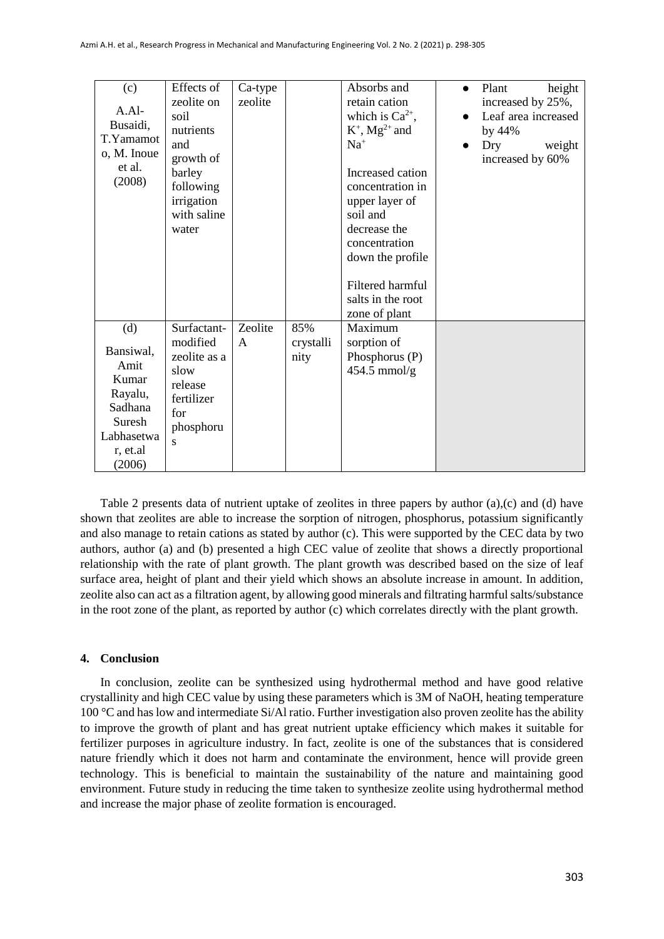| (c)         | Effects of   | Ca-type |           | Absorbs and                  | height<br>Plant<br>$\bullet$     |
|-------------|--------------|---------|-----------|------------------------------|----------------------------------|
|             | zeolite on   | zeolite |           | retain cation                | increased by 25%,                |
| $A.A1-$     | soil         |         |           | which is $Ca^{2+}$ ,         | Leaf area increased<br>$\bullet$ |
| Busaidi,    | nutrients    |         |           | $K^+$ , Mg <sup>2+</sup> and | by 44%                           |
| T.Yamamot   | and          |         |           | $Na+$                        | Dry<br>weight<br>$\bullet$       |
| o, M. Inoue | growth of    |         |           |                              | increased by 60%                 |
| et al.      | barley       |         |           | Increased cation             |                                  |
| (2008)      | following    |         |           | concentration in             |                                  |
|             | irrigation   |         |           | upper layer of               |                                  |
|             | with saline  |         |           | soil and                     |                                  |
|             | water        |         |           | decrease the                 |                                  |
|             |              |         |           | concentration                |                                  |
|             |              |         |           | down the profile             |                                  |
|             |              |         |           |                              |                                  |
|             |              |         |           | Filtered harmful             |                                  |
|             |              |         |           | salts in the root            |                                  |
|             |              |         |           | zone of plant                |                                  |
| (d)         | Surfactant-  | Zeolite | 85%       | Maximum                      |                                  |
|             | modified     | A       | crystalli | sorption of                  |                                  |
| Bansiwal,   | zeolite as a |         | nity      | Phosphorus (P)               |                                  |
| Amit        | slow         |         |           | $454.5$ mmol/g               |                                  |
| Kumar       | release      |         |           |                              |                                  |
| Rayalu,     | fertilizer   |         |           |                              |                                  |
| Sadhana     | for          |         |           |                              |                                  |
| Suresh      | phosphoru    |         |           |                              |                                  |
| Labhasetwa  | S            |         |           |                              |                                  |
| r, et.al    |              |         |           |                              |                                  |
| (2006)      |              |         |           |                              |                                  |

Table 2 presents data of nutrient uptake of zeolites in three papers by author (a),(c) and (d) have shown that zeolites are able to increase the sorption of nitrogen, phosphorus, potassium significantly and also manage to retain cations as stated by author (c). This were supported by the CEC data by two authors, author (a) and (b) presented a high CEC value of zeolite that shows a directly proportional relationship with the rate of plant growth. The plant growth was described based on the size of leaf surface area, height of plant and their yield which shows an absolute increase in amount. In addition, zeolite also can act as a filtration agent, by allowing good minerals and filtrating harmful salts/substance in the root zone of the plant, as reported by author (c) which correlates directly with the plant growth.

## **4. Conclusion**

In conclusion, zeolite can be synthesized using hydrothermal method and have good relative crystallinity and high CEC value by using these parameters which is 3M of NaOH, heating temperature 100 °C and has low and intermediate Si/Al ratio. Further investigation also proven zeolite has the ability to improve the growth of plant and has great nutrient uptake efficiency which makes it suitable for fertilizer purposes in agriculture industry. In fact, zeolite is one of the substances that is considered nature friendly which it does not harm and contaminate the environment, hence will provide green technology. This is beneficial to maintain the sustainability of the nature and maintaining good environment. Future study in reducing the time taken to synthesize zeolite using hydrothermal method and increase the major phase of zeolite formation is encouraged.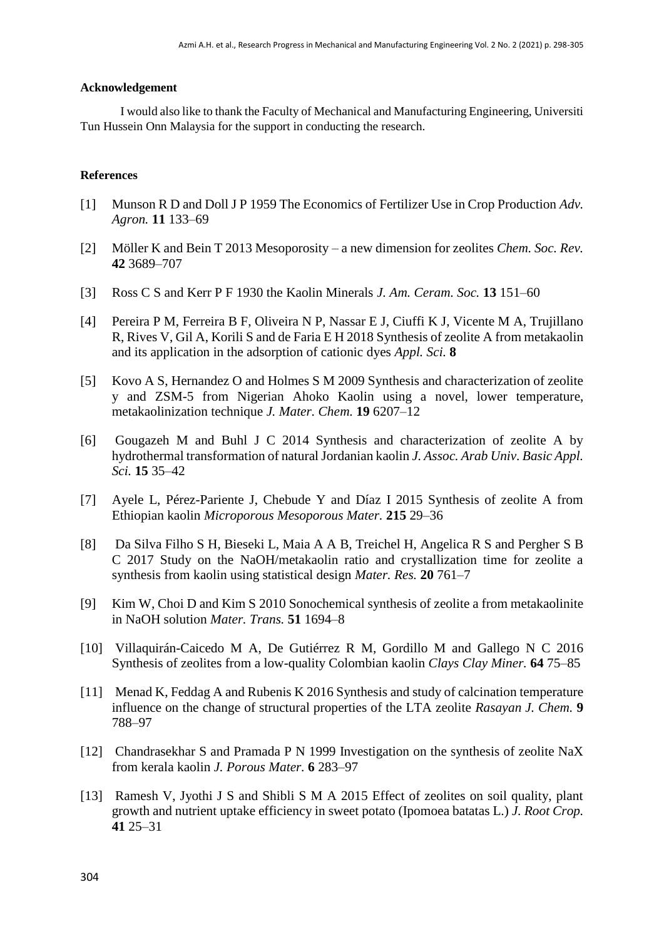#### **Acknowledgement**

I would also like to thank the Faculty of Mechanical and Manufacturing Engineering, Universiti Tun Hussein Onn Malaysia for the support in conducting the research.

#### **References**

- [1] Munson R D and Doll J P 1959 The Economics of Fertilizer Use in Crop Production *Adv. Agron.* **11** 133–69
- [2] Möller K and Bein T 2013 Mesoporosity a new dimension for zeolites *Chem. Soc. Rev.* **42** 3689–707
- [3] Ross C S and Kerr P F 1930 the Kaolin Minerals *J. Am. Ceram. Soc.* **13** 151–60
- [4] Pereira P M, Ferreira B F, Oliveira N P, Nassar E J, Ciuffi K J, Vicente M A, Trujillano R, Rives V, Gil A, Korili S and de Faria E H 2018 Synthesis of zeolite A from metakaolin and its application in the adsorption of cationic dyes *Appl. Sci.* **8**
- [5] Kovo A S, Hernandez O and Holmes S M 2009 Synthesis and characterization of zeolite y and ZSM-5 from Nigerian Ahoko Kaolin using a novel, lower temperature, metakaolinization technique *J. Mater. Chem.* **19** 6207–12
- [6] Gougazeh M and Buhl J C 2014 Synthesis and characterization of zeolite A by hydrothermal transformation of natural Jordanian kaolin *J. Assoc. Arab Univ. Basic Appl. Sci.* **15** 35–42
- [7] Ayele L, Pérez-Pariente J, Chebude Y and Díaz I 2015 Synthesis of zeolite A from Ethiopian kaolin *Microporous Mesoporous Mater.* **215** 29–36
- [8] Da Silva Filho S H, Bieseki L, Maia A A B, Treichel H, Angelica R S and Pergher S B C 2017 Study on the NaOH/metakaolin ratio and crystallization time for zeolite a synthesis from kaolin using statistical design *Mater. Res.* **20** 761–7
- [9] Kim W, Choi D and Kim S 2010 Sonochemical synthesis of zeolite a from metakaolinite in NaOH solution *Mater. Trans.* **51** 1694–8
- [10] Villaquirán-Caicedo M A, De Gutiérrez R M, Gordillo M and Gallego N C 2016 Synthesis of zeolites from a low-quality Colombian kaolin *Clays Clay Miner.* **64** 75–85
- [11] Menad K, Feddag A and Rubenis K 2016 Synthesis and study of calcination temperature influence on the change of structural properties of the LTA zeolite *Rasayan J. Chem.* **9** 788–97
- [12] Chandrasekhar S and Pramada P N 1999 Investigation on the synthesis of zeolite NaX from kerala kaolin *J. Porous Mater.* **6** 283–97
- [13] Ramesh V, Jyothi J S and Shibli S M A 2015 Effect of zeolites on soil quality, plant growth and nutrient uptake efficiency in sweet potato (Ipomoea batatas L.) *J. Root Crop.* **41** 25–31